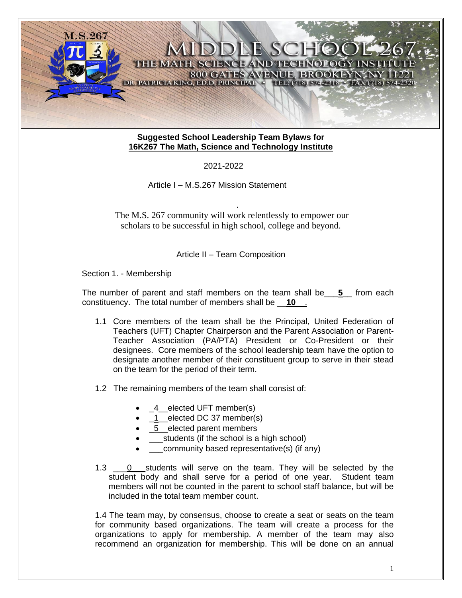

# **Suggested School Leadership Team Bylaws for 16K267 The Math, Science and Technology Institute**

2021-2022

Article I – M.S.267 Mission Statement

The M.S. 267 community will work relentlessly to empower our scholars to be successful in high school, college and beyond.

.

Article II – Team Composition

Section 1. - Membership

The number of parent and staff members on the team shall be\_\_\_**5**\_\_ from each constituency. The total number of members shall be \_\_**10**\_\_.

- 1.1 Core members of the team shall be the Principal, United Federation of Teachers (UFT) Chapter Chairperson and the Parent Association or Parent-Teacher Association (PA/PTA) President or Co-President or their designees. Core members of the school leadership team have the option to designate another member of their constituent group to serve in their stead on the team for the period of their term.
- 1.2 The remaining members of the team shall consist of:
	- \_4\_\_elected UFT member(s)
	- 1 elected DC 37 member(s)
	- 5 elected parent members
	- **e**students (if the school is a high school)
	- community based representative(s) (if any)
- 1.3  $\qquad$  0 students will serve on the team. They will be selected by the student body and shall serve for a period of one year. Student team members will not be counted in the parent to school staff balance, but will be included in the total team member count.

1.4 The team may, by consensus, choose to create a seat or seats on the team for community based organizations. The team will create a process for the organizations to apply for membership. A member of the team may also recommend an organization for membership. This will be done on an annual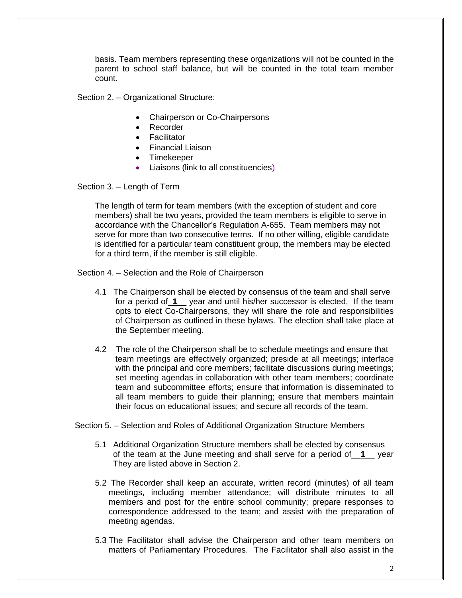basis. Team members representing these organizations will not be counted in the parent to school staff balance, but will be counted in the total team member count.

Section 2. – Organizational Structure:

- Chairperson or Co-Chairpersons
- Recorder
- Facilitator
- Financial Liaison
- Timekeeper
- Liaisons (link to all constituencies)

Section 3. – Length of Term

The length of term for team members (with the exception of student and core members) shall be two years, provided the team members is eligible to serve in accordance with the Chancellor's Regulation A-655. Team members may not serve for more than two consecutive terms. If no other willing, eligible candidate is identified for a particular team constituent group, the members may be elected for a third term, if the member is still eligible.

Section 4. – Selection and the Role of Chairperson

- 4.1 The Chairperson shall be elected by consensus of the team and shall serve for a period of\_**1**\_\_ year and until his/her successor is elected. If the team opts to elect Co-Chairpersons, they will share the role and responsibilities of Chairperson as outlined in these bylaws. The election shall take place at the September meeting.
- 4.2 The role of the Chairperson shall be to schedule meetings and ensure that team meetings are effectively organized; preside at all meetings; interface with the principal and core members; facilitate discussions during meetings; set meeting agendas in collaboration with other team members; coordinate team and subcommittee efforts; ensure that information is disseminated to all team members to guide their planning; ensure that members maintain their focus on educational issues; and secure all records of the team.

Section 5. – Selection and Roles of Additional Organization Structure Members

- 5.1 Additional Organization Structure members shall be elected by consensus of the team at the June meeting and shall serve for a period of\_\_**1**\_\_ year They are listed above in Section 2.
- 5.2 The Recorder shall keep an accurate, written record (minutes) of all team meetings, including member attendance; will distribute minutes to all members and post for the entire school community; prepare responses to correspondence addressed to the team; and assist with the preparation of meeting agendas.
- 5.3 The Facilitator shall advise the Chairperson and other team members on matters of Parliamentary Procedures. The Facilitator shall also assist in the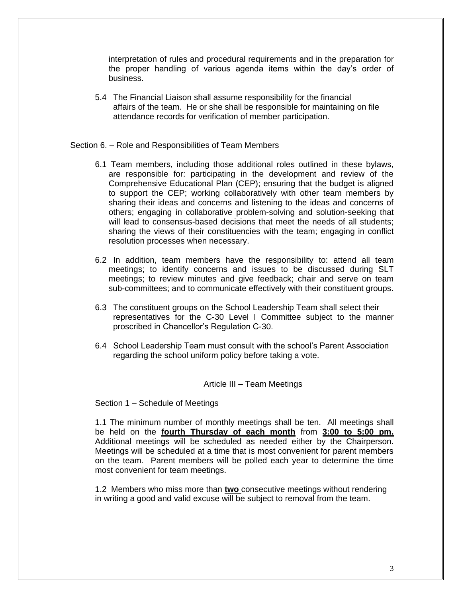interpretation of rules and procedural requirements and in the preparation for the proper handling of various agenda items within the day's order of business.

5.4 The Financial Liaison shall assume responsibility for the financial affairs of the team. He or she shall be responsible for maintaining on file attendance records for verification of member participation.

## Section 6. – Role and Responsibilities of Team Members

- 6.1 Team members, including those additional roles outlined in these bylaws, are responsible for: participating in the development and review of the Comprehensive Educational Plan (CEP); ensuring that the budget is aligned to support the CEP; working collaboratively with other team members by sharing their ideas and concerns and listening to the ideas and concerns of others; engaging in collaborative problem-solving and solution-seeking that will lead to consensus-based decisions that meet the needs of all students; sharing the views of their constituencies with the team; engaging in conflict resolution processes when necessary.
- 6.2 In addition, team members have the responsibility to: attend all team meetings; to identify concerns and issues to be discussed during SLT meetings; to review minutes and give feedback; chair and serve on team sub-committees; and to communicate effectively with their constituent groups.
- 6.3 The constituent groups on the School Leadership Team shall select their representatives for the C-30 Level I Committee subject to the manner proscribed in Chancellor's Regulation C-30.
- 6.4 School Leadership Team must consult with the school's Parent Association regarding the school uniform policy before taking a vote.

### Article III – Team Meetings

Section 1 – Schedule of Meetings

1.1 The minimum number of monthly meetings shall be ten. All meetings shall be held on the **fourth Thursday of each month** from **3:00 to 5:00 pm.** Additional meetings will be scheduled as needed either by the Chairperson. Meetings will be scheduled at a time that is most convenient for parent members on the team. Parent members will be polled each year to determine the time most convenient for team meetings.

1.2 Members who miss more than **two** consecutive meetings without rendering in writing a good and valid excuse will be subject to removal from the team.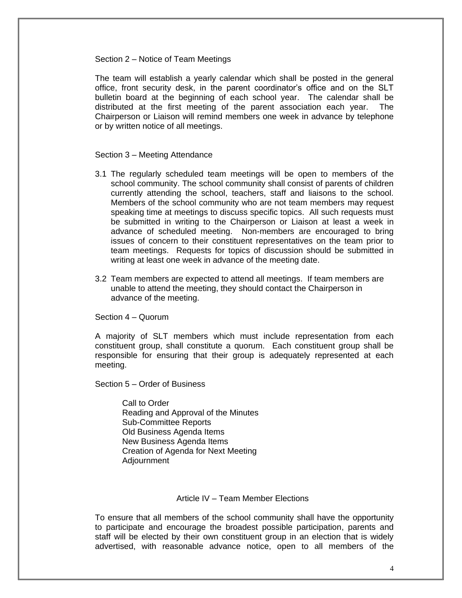#### Section 2 – Notice of Team Meetings

The team will establish a yearly calendar which shall be posted in the general office, front security desk, in the parent coordinator's office and on the SLT bulletin board at the beginning of each school year. The calendar shall be distributed at the first meeting of the parent association each year. The Chairperson or Liaison will remind members one week in advance by telephone or by written notice of all meetings.

### Section 3 – Meeting Attendance

- 3.1 The regularly scheduled team meetings will be open to members of the school community. The school community shall consist of parents of children currently attending the school, teachers, staff and liaisons to the school. Members of the school community who are not team members may request speaking time at meetings to discuss specific topics. All such requests must be submitted in writing to the Chairperson or Liaison at least a week in advance of scheduled meeting. Non-members are encouraged to bring issues of concern to their constituent representatives on the team prior to team meetings. Requests for topics of discussion should be submitted in writing at least one week in advance of the meeting date.
- 3.2 Team members are expected to attend all meetings. If team members are unable to attend the meeting, they should contact the Chairperson in advance of the meeting.

Section 4 – Quorum

A majority of SLT members which must include representation from each constituent group, shall constitute a quorum. Each constituent group shall be responsible for ensuring that their group is adequately represented at each meeting.

Section 5 – Order of Business

Call to Order Reading and Approval of the Minutes Sub-Committee Reports Old Business Agenda Items New Business Agenda Items Creation of Agenda for Next Meeting Adjournment

### Article IV – Team Member Elections

To ensure that all members of the school community shall have the opportunity to participate and encourage the broadest possible participation, parents and staff will be elected by their own constituent group in an election that is widely advertised, with reasonable advance notice, open to all members of the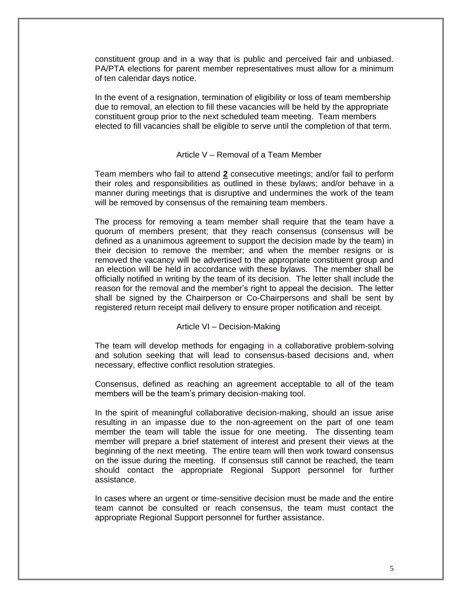constituent group and in a way that is public and perceived fair and unbiased. PA/PTA elections for parent member representatives must allow for a minimum of ten calendar days notice.

In the event of a resignation, termination of eligibility or loss of team membership due to removal, an election to fill these vacancies will be held by the appropriate constituent group prior to the next scheduled team meeting. Team members elected to fill vacancies shall be eligible to serve until the completion of that term.

## Article V – Removal of a Team Member

Team members who fail to attend **2** consecutive meetings; and/or fail to perform their roles and responsibilities as outlined in these bylaws; and/or behave in a manner during meetings that is disruptive and undermines the work of the team will be removed by consensus of the remaining team members.

The process for removing a team member shall require that the team have a quorum of members present; that they reach consensus (consensus will be defined as a unanimous agreement to support the decision made by the team) in their decision to remove the member; and when the member resigns or is removed the vacancy will be advertised to the appropriate constituent group and an election will be held in accordance with these bylaws. The member shall be officially notified in writing by the team of its decision. The letter shall include the reason for the removal and the member's right to appeal the decision. The letter shall be signed by the Chairperson or Co-Chairpersons and shall be sent by registered return receipt mail delivery to ensure proper notification and receipt.

#### Article VI – Decision-Making

The team will develop methods for engaging in a collaborative problem-solving and solution seeking that will lead to consensus-based decisions and, when necessary, effective conflict resolution strategies.

Consensus, defined as reaching an agreement acceptable to all of the team members will be the team's primary decision-making tool.

In the spirit of meaningful collaborative decision-making, should an issue arise resulting in an impasse due to the non-agreement on the part of one team member the team will table the issue for one meeting. The dissenting team member will prepare a brief statement of interest and present their views at the beginning of the next meeting. The entire team will then work toward consensus on the issue during the meeting. If consensus still cannot be reached, the team should contact the appropriate Regional Support personnel for further assistance.

In cases where an urgent or time-sensitive decision must be made and the entire team cannot be consulted or reach consensus, the team must contact the appropriate Regional Support personnel for further assistance.